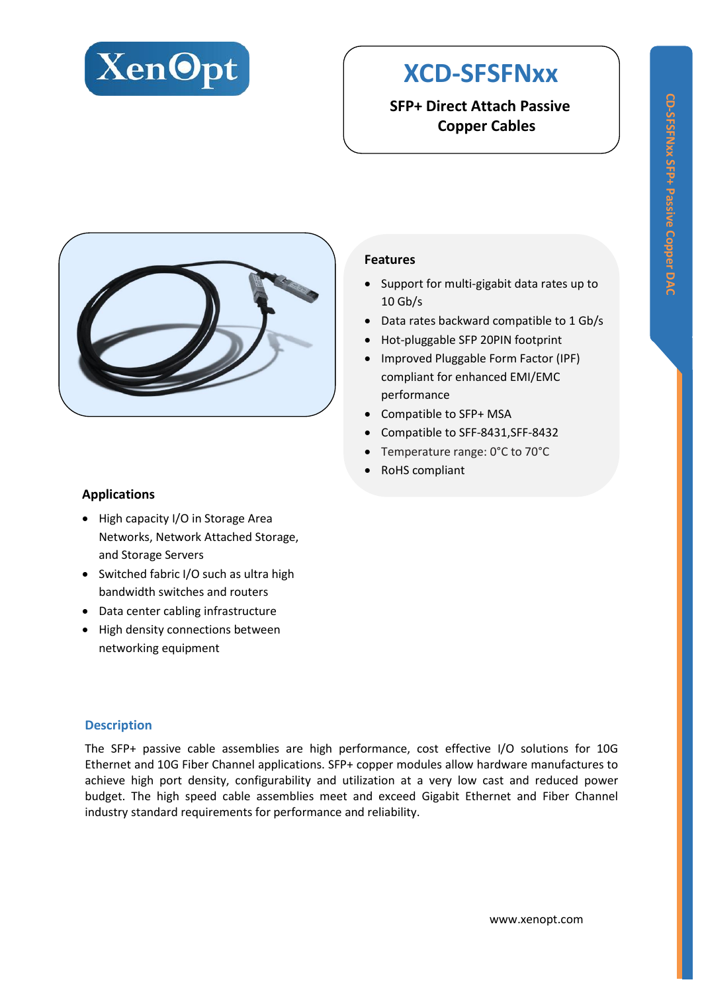

# **XCD-SFSFNxx**

**SFP+ Direct Attach Passive Copper Cables**



### **Features**

- Support for multi-gigabit data rates up to 10 Gb/s
- Data rates backward compatible to 1 Gb/s
- Hot-pluggable SFP 20PIN footprint
- Improved Pluggable Form Factor (IPF) compliant for enhanced EMI/EMC performance
- Compatible to SFP+ MSA
- Compatible to SFF-8431,SFF-8432
- Temperature range: 0°C to 70°C
- RoHS compliant

#### **Applications**

- High capacity I/O in Storage Area Networks, Network Attached Storage, and Storage Servers
- Switched fabric I/O such as ultra high bandwidth switches and routers
- Data center cabling infrastructure
- High density connections between networking equipment

#### **Description**

The SFP+ passive cable assemblies are high performance, cost effective I/O solutions for 10G Ethernet and 10G Fiber Channel applications. SFP+ copper modules allow hardware manufactures to achieve high port density, configurability and utilization at a very low cast and reduced power budget. The high speed cable assemblies meet and exceed Gigabit Ethernet and Fiber Channel industry standard requirements for performance and reliability.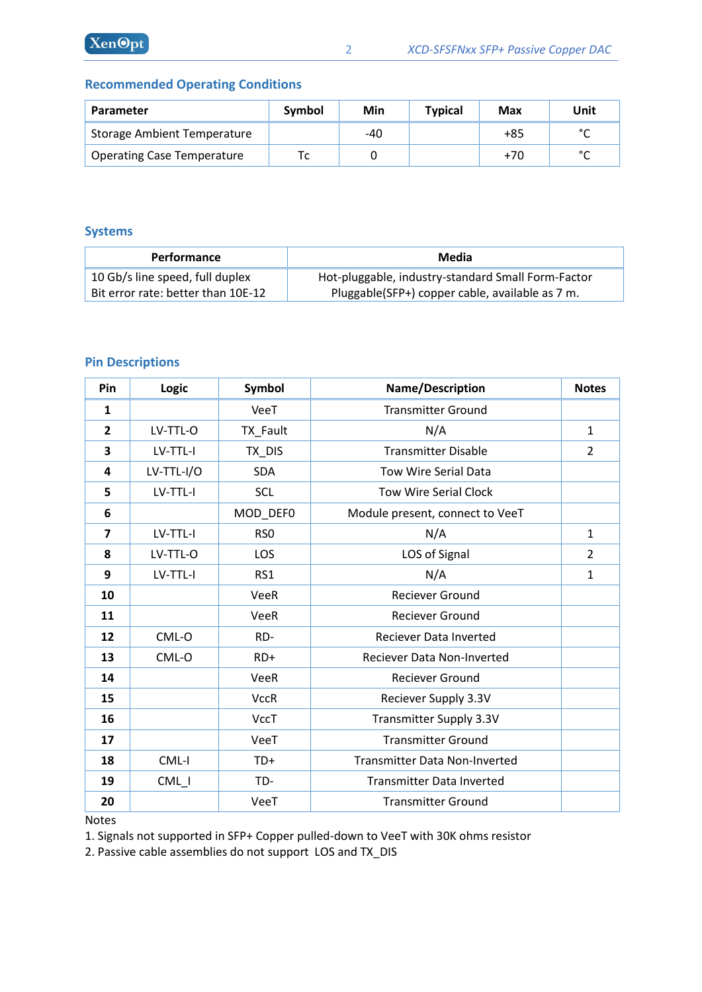## **Recommended Operating Conditions**

| Parameter                          | Symbol | Min | <b>Typical</b> | Max   | Unit   |
|------------------------------------|--------|-----|----------------|-------|--------|
| <b>Storage Ambient Temperature</b> |        | -40 |                | $+85$ | $\sim$ |
| <b>Operating Case Temperature</b>  |        |     |                | $+70$ | $\sim$ |

#### **Systems**

| <b>Performance</b>                 | Media                                              |  |  |
|------------------------------------|----------------------------------------------------|--|--|
| 10 Gb/s line speed, full duplex    | Hot-pluggable, industry-standard Small Form-Factor |  |  |
| Bit error rate: better than 10E-12 | Pluggable(SFP+) copper cable, available as 7 m.    |  |  |

## **Pin Descriptions**

| Pin                     | <b>Logic</b> | Symbol          | Name/Description                     | <b>Notes</b>   |
|-------------------------|--------------|-----------------|--------------------------------------|----------------|
| $\mathbf{1}$            |              | VeeT            | <b>Transmitter Ground</b>            |                |
| $\overline{2}$          | LV-TTL-O     | TX_Fault        | N/A                                  | $\mathbf{1}$   |
| 3                       | LV-TTL-I     | TX_DIS          | <b>Transmitter Disable</b>           | $\overline{2}$ |
| 4                       | $LV-TTL-I/O$ | <b>SDA</b>      | <b>Tow Wire Serial Data</b>          |                |
| 5                       | LV-TTL-I     | <b>SCL</b>      | <b>Tow Wire Serial Clock</b>         |                |
| 6                       |              | MOD_DEF0        | Module present, connect to VeeT      |                |
| $\overline{\mathbf{z}}$ | LV-TTL-I     | RS <sub>O</sub> | N/A                                  | $\mathbf{1}$   |
| 8                       | LV-TTL-O     | LOS             | LOS of Signal                        | $\overline{2}$ |
| 9                       | LV-TTL-I     | RS1             | N/A                                  | 1              |
| 10                      |              | VeeR            | <b>Reciever Ground</b>               |                |
| 11                      |              | VeeR            | <b>Reciever Ground</b>               |                |
| 12                      | CML-O        | RD-             | <b>Reciever Data Inverted</b>        |                |
| 13                      | CML-O        | RD+             | Reciever Data Non-Inverted           |                |
| 14                      |              | VeeR            | <b>Reciever Ground</b>               |                |
| 15                      |              | <b>VccR</b>     | Reciever Supply 3.3V                 |                |
| 16                      |              | <b>VccT</b>     | Transmitter Supply 3.3V              |                |
| 17                      |              | VeeT            | <b>Transmitter Ground</b>            |                |
| 18                      | CML-I        | TD+             | <b>Transmitter Data Non-Inverted</b> |                |
| 19                      | $CML_l$      | TD-             | <b>Transmitter Data Inverted</b>     |                |
| 20                      |              | VeeT            | <b>Transmitter Ground</b>            |                |

Notes

1. Signals not supported in SFP+ Copper pulled-down to VeeT with 30K ohms resistor

2. Passive cable assemblies do not support LOS and TX\_DIS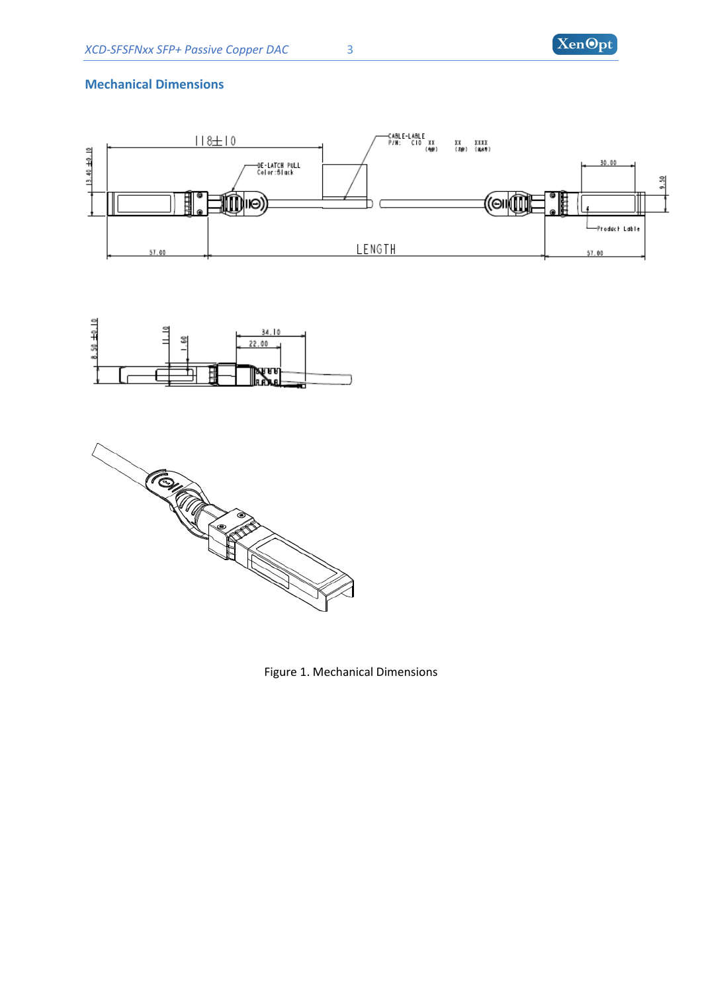

#### **Mechanical Dimensions**







Figure 1. Mechanical Dimensions